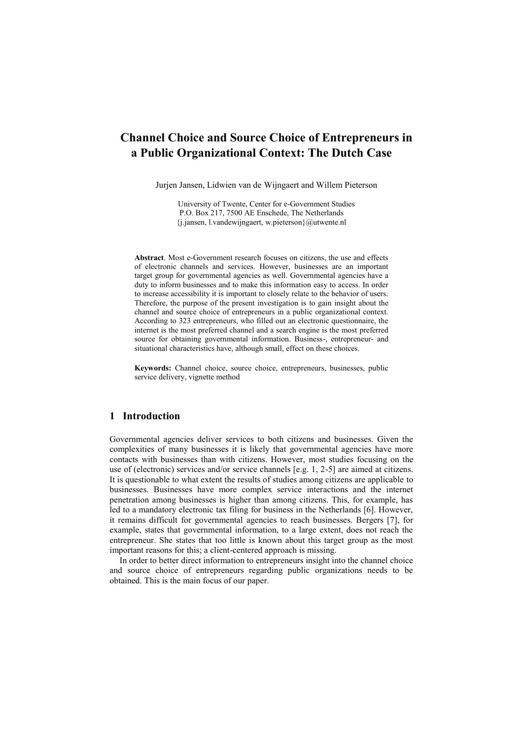# **Channel Choice and Source Choice of Entrepreneurs in a Public Organizational Context: The Dutch Case**

Jurjen Jansen, Lidwien van de Wijngaert and Willem Pieterson

University of Twente, Center for e-Government Studies P.O. Box 217, 7500 AE Enschede, The Netherlands {j.jansen, l.vandewijngaert, w.pieterson}@utwente.nl

**Abstract**. Most e-Government research focuses on citizens, the use and effects of electronic channels and services. However, businesses are an important target group for governmental agencies as well. Governmental agencies have a duty to inform businesses and to make this information easy to access. In order to increase accessibility it is important to closely relate to the behavior of users. Therefore, the purpose of the present investigation is to gain insight about the channel and source choice of entrepreneurs in a public organizational context. According to 323 entrepreneurs, who filled out an electronic questionnaire, the internet is the most preferred channel and a search engine is the most preferred source for obtaining governmental information. Business-, entrepreneur- and situational characteristics have, although small, effect on these choices.

**Keywords:** Channel choice, source choice, entrepreneurs, businesses, public service delivery, vignette method

# **1 Introduction**

Governmental agencies deliver services to both citizens and businesses. Given the complexities of many businesses it is likely that governmental agencies have more contacts with businesses than with citizens. However, most studies focusing on the use of (electronic) services and/or service channels [e.g. 1, 2-5] are aimed at citizens. It is questionable to what extent the results of studies among citizens are applicable to businesses. Businesses have more complex service interactions and the internet penetration among businesses is higher than among citizens. This, for example, has led to a mandatory electronic tax filing for business in the Netherlands [6]. However, it remains difficult for governmental agencies to reach businesses. Bergers [7], for example, states that governmental information, to a large extent, does not reach the entrepreneur. She states that too little is known about this target group as the most important reasons for this; a client-centered approach is missing.

In order to better direct information to entrepreneurs insight into the channel choice and source choice of entrepreneurs regarding public organizations needs to be obtained. This is the main focus of our paper.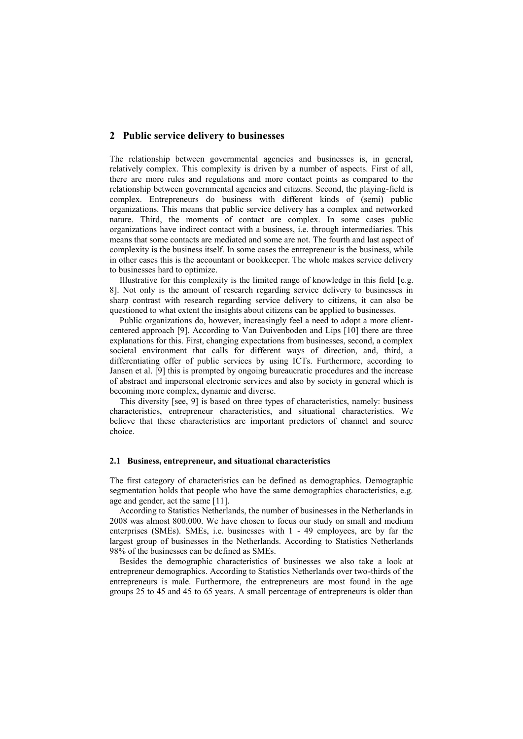### **2 Public service delivery to businesses**

The relationship between governmental agencies and businesses is, in general, relatively complex. This complexity is driven by a number of aspects. First of all, there are more rules and regulations and more contact points as compared to the relationship between governmental agencies and citizens. Second, the playing-field is complex. Entrepreneurs do business with different kinds of (semi) public organizations. This means that public service delivery has a complex and networked nature. Third, the moments of contact are complex. In some cases public organizations have indirect contact with a business, i.e. through intermediaries. This means that some contacts are mediated and some are not. The fourth and last aspect of complexity is the business itself. In some cases the entrepreneur is the business, while in other cases this is the accountant or bookkeeper. The whole makes service delivery to businesses hard to optimize.

Illustrative for this complexity is the limited range of knowledge in this field [e.g. 8]. Not only is the amount of research regarding service delivery to businesses in sharp contrast with research regarding service delivery to citizens, it can also be questioned to what extent the insights about citizens can be applied to businesses.

Public organizations do, however, increasingly feel a need to adopt a more clientcentered approach [9]. According to Van Duivenboden and Lips [10] there are three explanations for this. First, changing expectations from businesses, second, a complex societal environment that calls for different ways of direction, and, third, a differentiating offer of public services by using ICTs. Furthermore, according to Jansen et al. [9] this is prompted by ongoing bureaucratic procedures and the increase of abstract and impersonal electronic services and also by society in general which is becoming more complex, dynamic and diverse.

This diversity [see, 9] is based on three types of characteristics, namely: business characteristics, entrepreneur characteristics, and situational characteristics. We believe that these characteristics are important predictors of channel and source choice.

#### **2.1 Business, entrepreneur, and situational characteristics**

The first category of characteristics can be defined as demographics. Demographic segmentation holds that people who have the same demographics characteristics, e.g. age and gender, act the same [11].

According to Statistics Netherlands, the number of businesses in the Netherlands in 2008 was almost 800.000. We have chosen to focus our study on small and medium enterprises (SMEs). SMEs, i.e. businesses with 1 - 49 employees, are by far the largest group of businesses in the Netherlands. According to Statistics Netherlands 98% of the businesses can be defined as SMEs.

Besides the demographic characteristics of businesses we also take a look at entrepreneur demographics. According to Statistics Netherlands over two-thirds of the entrepreneurs is male. Furthermore, the entrepreneurs are most found in the age groups 25 to 45 and 45 to 65 years. A small percentage of entrepreneurs is older than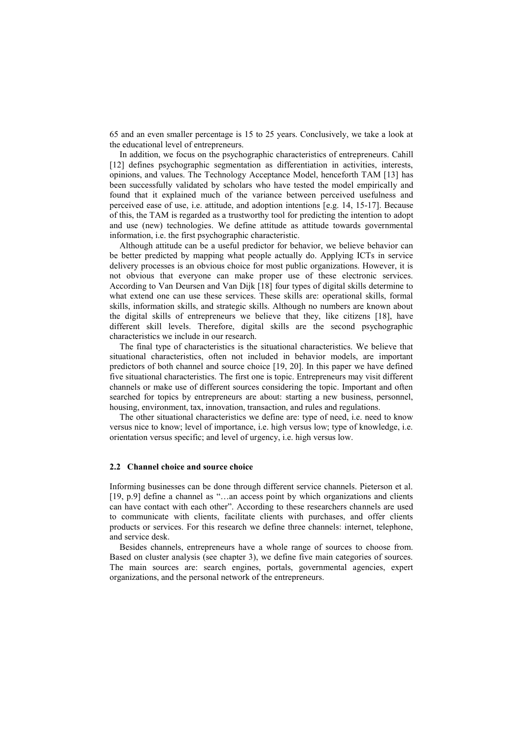65 and an even smaller percentage is 15 to 25 years. Conclusively, we take a look at the educational level of entrepreneurs.

In addition, we focus on the psychographic characteristics of entrepreneurs. Cahill [12] defines psychographic segmentation as differentiation in activities, interests, opinions, and values. The Technology Acceptance Model, henceforth TAM [13] has been successfully validated by scholars who have tested the model empirically and found that it explained much of the variance between perceived usefulness and perceived ease of use, i.e. attitude, and adoption intentions [e.g. 14, 15-17]. Because of this, the TAM is regarded as a trustworthy tool for predicting the intention to adopt and use (new) technologies. We define attitude as attitude towards governmental information, i.e. the first psychographic characteristic.

Although attitude can be a useful predictor for behavior, we believe behavior can be better predicted by mapping what people actually do. Applying ICTs in service delivery processes is an obvious choice for most public organizations. However, it is not obvious that everyone can make proper use of these electronic services. According to Van Deursen and Van Dijk [18] four types of digital skills determine to what extend one can use these services. These skills are: operational skills, formal skills, information skills, and strategic skills. Although no numbers are known about the digital skills of entrepreneurs we believe that they, like citizens [18], have different skill levels. Therefore, digital skills are the second psychographic characteristics we include in our research.

The final type of characteristics is the situational characteristics. We believe that situational characteristics, often not included in behavior models, are important predictors of both channel and source choice [19, 20]. In this paper we have defined five situational characteristics. The first one is topic. Entrepreneurs may visit different channels or make use of different sources considering the topic. Important and often searched for topics by entrepreneurs are about: starting a new business, personnel, housing, environment, tax, innovation, transaction, and rules and regulations.

The other situational characteristics we define are: type of need, i.e. need to know versus nice to know; level of importance, i.e. high versus low; type of knowledge, i.e. orientation versus specific; and level of urgency, i.e. high versus low.

#### **2.2 Channel choice and source choice**

Informing businesses can be done through different service channels. Pieterson et al. [19, p.9] define a channel as "...an access point by which organizations and clients can have contact with each other". According to these researchers channels are used to communicate with clients, facilitate clients with purchases, and offer clients products or services. For this research we define three channels: internet, telephone, and service desk.

Besides channels, entrepreneurs have a whole range of sources to choose from. Based on cluster analysis (see chapter 3), we define five main categories of sources. The main sources are: search engines, portals, governmental agencies, expert organizations, and the personal network of the entrepreneurs.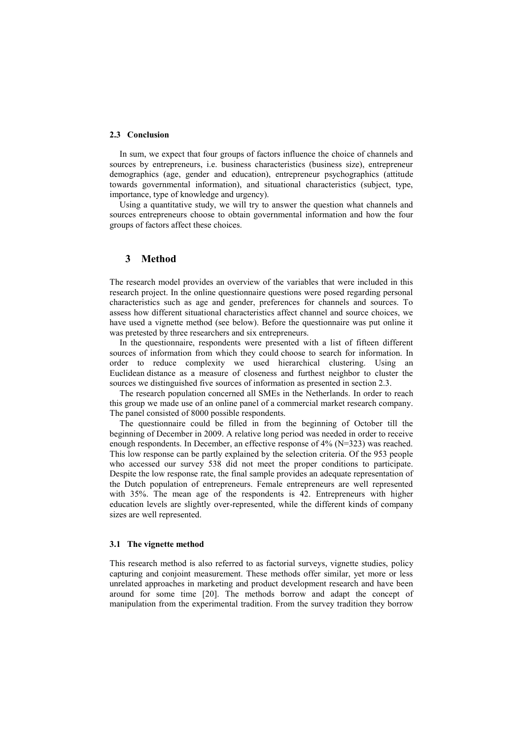#### **2.3 Conclusion**

In sum, we expect that four groups of factors influence the choice of channels and sources by entrepreneurs, i.e. business characteristics (business size), entrepreneur demographics (age, gender and education), entrepreneur psychographics (attitude towards governmental information), and situational characteristics (subject, type, importance, type of knowledge and urgency).

Using a quantitative study, we will try to answer the question what channels and sources entrepreneurs choose to obtain governmental information and how the four groups of factors affect these choices.

### **3 Method**

The research model provides an overview of the variables that were included in this research project. In the online questionnaire questions were posed regarding personal characteristics such as age and gender, preferences for channels and sources. To assess how different situational characteristics affect channel and source choices, we have used a vignette method (see below). Before the questionnaire was put online it was pretested by three researchers and six entrepreneurs.

In the questionnaire, respondents were presented with a list of fifteen different sources of information from which they could choose to search for information. In order to reduce complexity we used hierarchical clustering. Using an Euclidean distance as a measure of closeness and furthest neighbor to cluster the sources we distinguished five sources of information as presented in section 2.3.

The research population concerned all SMEs in the Netherlands. In order to reach this group we made use of an online panel of a commercial market research company. The panel consisted of 8000 possible respondents.

The questionnaire could be filled in from the beginning of October till the beginning of December in 2009. A relative long period was needed in order to receive enough respondents. In December, an effective response of  $4\%$  (N=323) was reached. This low response can be partly explained by the selection criteria. Of the 953 people who accessed our survey 538 did not meet the proper conditions to participate. Despite the low response rate, the final sample provides an adequate representation of the Dutch population of entrepreneurs. Female entrepreneurs are well represented with 35%. The mean age of the respondents is 42. Entrepreneurs with higher education levels are slightly over-represented, while the different kinds of company sizes are well represented.

#### **3.1 The vignette method**

This research method is also referred to as factorial surveys, vignette studies, policy capturing and conjoint measurement. These methods offer similar, yet more or less unrelated approaches in marketing and product development research and have been around for some time [20]. The methods borrow and adapt the concept of manipulation from the experimental tradition. From the survey tradition they borrow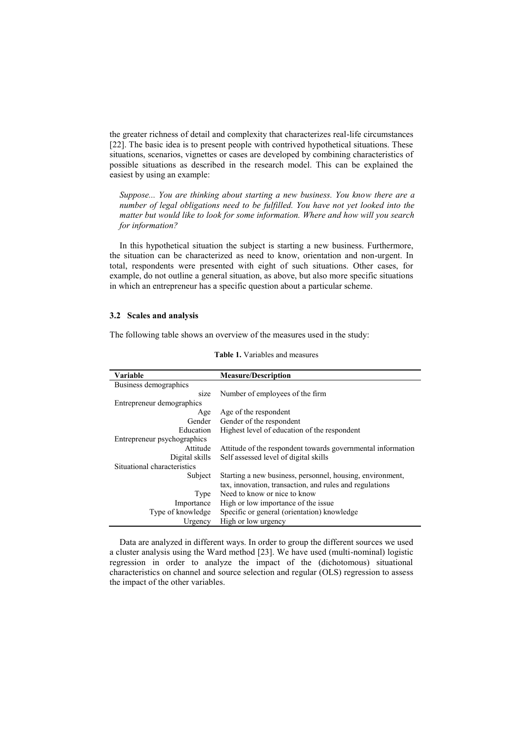the greater richness of detail and complexity that characterizes real-life circumstances [22]. The basic idea is to present people with contrived hypothetical situations. These situations, scenarios, vignettes or cases are developed by combining characteristics of possible situations as described in the research model. This can be explained the easiest by using an example:

*Suppose... You are thinking about starting a new business. You know there are a number of legal obligations need to be fulfilled. You have not yet looked into the matter but would like to look for some information. Where and how will you search for information?*

In this hypothetical situation the subject is starting a new business. Furthermore, the situation can be characterized as need to know, orientation and non-urgent. In total, respondents were presented with eight of such situations. Other cases, for example, do not outline a general situation, as above, but also more specific situations in which an entrepreneur has a specific question about a particular scheme.

### **3.2 Scales and analysis**

The following table shows an overview of the measures used in the study:

| Variable                    | <b>Measure/Description</b>                                  |
|-----------------------------|-------------------------------------------------------------|
| Business demographics       |                                                             |
| size                        | Number of employees of the firm                             |
| Entrepreneur demographics   |                                                             |
| Age                         | Age of the respondent                                       |
| Gender                      | Gender of the respondent                                    |
| Education                   | Highest level of education of the respondent                |
| Entrepreneur psychographics |                                                             |
| Attitude                    | Attitude of the respondent towards governmental information |
| Digital skills              | Self assessed level of digital skills                       |
| Situational characteristics |                                                             |
| Subject                     | Starting a new business, personnel, housing, environment,   |
|                             | tax, innovation, transaction, and rules and regulations     |
| Type                        | Need to know or nice to know                                |
| Importance                  | High or low importance of the issue.                        |
| Type of knowledge           | Specific or general (orientation) knowledge                 |
| Urgency                     | High or low urgency                                         |

**Table 1.** Variables and measures

Data are analyzed in different ways. In order to group the different sources we used a cluster analysis using the Ward method [23]. We have used (multi-nominal) logistic regression in order to analyze the impact of the (dichotomous) situational characteristics on channel and source selection and regular (OLS) regression to assess the impact of the other variables.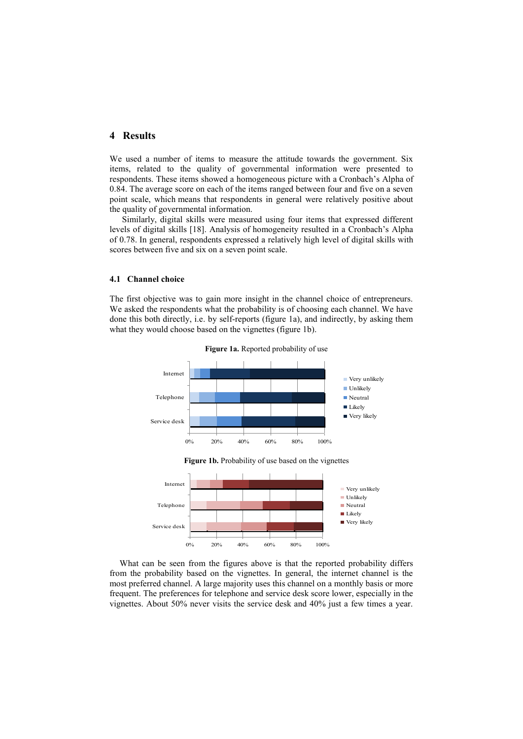### **4 Results**

We used a number of items to measure the attitude towards the government. Six items, related to the quality of governmental information were presented to respondents. These items showed a homogeneous picture with a Cronbach's Alpha of 0.84. The average score on each of the items ranged between four and five on a seven point scale, which means that respondents in general were relatively positive about the quality of governmental information.

Similarly, digital skills were measured using four items that expressed different levels of digital skills [18]. Analysis of homogeneity resulted in a Cronbach's Alpha of 0.78. In general, respondents expressed a relatively high level of digital skills with scores between five and six on a seven point scale.

#### **4.1 Channel choice**

The first objective was to gain more insight in the channel choice of entrepreneurs. We asked the respondents what the probability is of choosing each channel. We have done this both directly, i.e. by self-reports (figure 1a), and indirectly, by asking them what they would choose based on the vignettes (figure 1b).



**Figure 1a.** Reported probability of use





What can be seen from the figures above is that the reported probability differs from the probability based on the vignettes. In general, the internet channel is the most preferred channel. A large majority uses this channel on a monthly basis or more frequent. The preferences for telephone and service desk score lower, especially in the vignettes. About 50% never visits the service desk and 40% just a few times a year.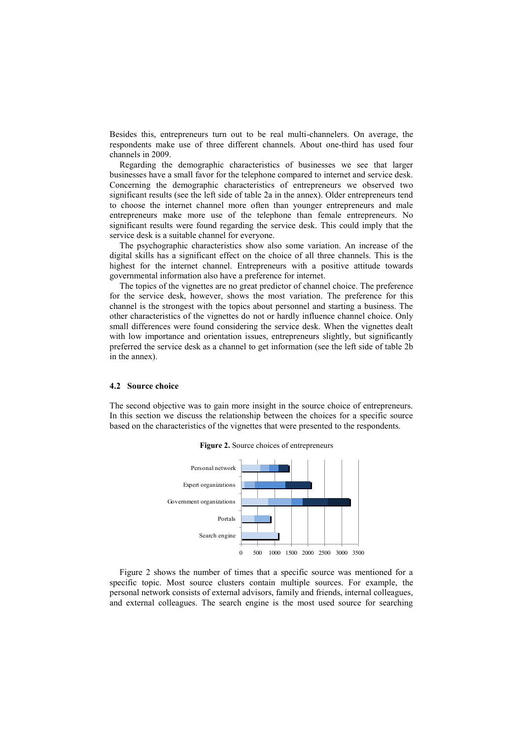Besides this, entrepreneurs turn out to be real multi-channelers. On average, the respondents make use of three different channels. About one-third has used four channels in 2009.

Regarding the demographic characteristics of businesses we see that larger businesses have a small favor for the telephone compared to internet and service desk. Concerning the demographic characteristics of entrepreneurs we observed two significant results (see the left side of table 2a in the annex). Older entrepreneurs tend to choose the internet channel more often than younger entrepreneurs and male entrepreneurs make more use of the telephone than female entrepreneurs. No significant results were found regarding the service desk. This could imply that the service desk is a suitable channel for everyone.

The psychographic characteristics show also some variation. An increase of the digital skills has a significant effect on the choice of all three channels. This is the highest for the internet channel. Entrepreneurs with a positive attitude towards governmental information also have a preference for internet.

The topics of the vignettes are no great predictor of channel choice. The preference for the service desk, however, shows the most variation. The preference for this channel is the strongest with the topics about personnel and starting a business. The other characteristics of the vignettes do not or hardly influence channel choice. Only small differences were found considering the service desk. When the vignettes dealt with low importance and orientation issues, entrepreneurs slightly, but significantly preferred the service desk as a channel to get information (see the left side of table 2b in the annex).

#### **4.2 Source choice**

The second objective was to gain more insight in the source choice of entrepreneurs. In this section we discuss the relationship between the choices for a specific source based on the characteristics of the vignettes that were presented to the respondents.



**Figure 2.** Source choices of entrepreneurs

Figure 2 shows the number of times that a specific source was mentioned for a specific topic. Most source clusters contain multiple sources. For example, the personal network consists of external advisors, family and friends, internal colleagues, and external colleagues. The search engine is the most used source for searching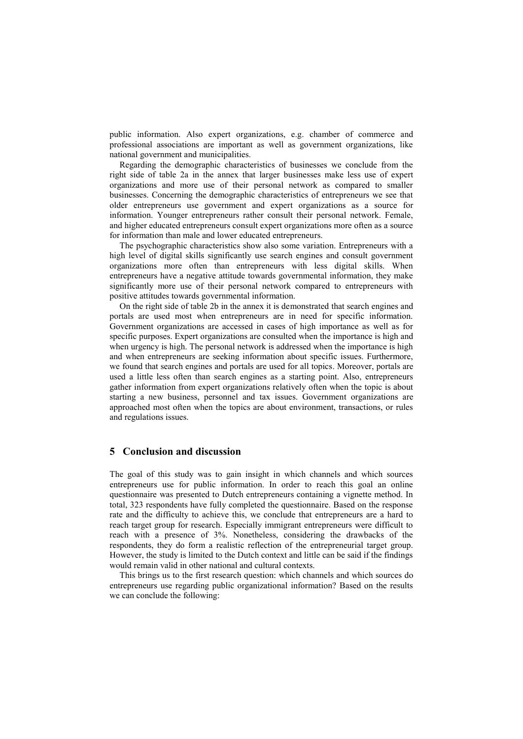public information. Also expert organizations, e.g. chamber of commerce and professional associations are important as well as government organizations, like national government and municipalities.

Regarding the demographic characteristics of businesses we conclude from the right side of table 2a in the annex that larger businesses make less use of expert organizations and more use of their personal network as compared to smaller businesses. Concerning the demographic characteristics of entrepreneurs we see that older entrepreneurs use government and expert organizations as a source for information. Younger entrepreneurs rather consult their personal network. Female, and higher educated entrepreneurs consult expert organizations more often as a source for information than male and lower educated entrepreneurs.

The psychographic characteristics show also some variation. Entrepreneurs with a high level of digital skills significantly use search engines and consult government organizations more often than entrepreneurs with less digital skills. When entrepreneurs have a negative attitude towards governmental information, they make significantly more use of their personal network compared to entrepreneurs with positive attitudes towards governmental information.

On the right side of table 2b in the annex it is demonstrated that search engines and portals are used most when entrepreneurs are in need for specific information. Government organizations are accessed in cases of high importance as well as for specific purposes. Expert organizations are consulted when the importance is high and when urgency is high. The personal network is addressed when the importance is high and when entrepreneurs are seeking information about specific issues. Furthermore, we found that search engines and portals are used for all topics. Moreover, portals are used a little less often than search engines as a starting point. Also, entrepreneurs gather information from expert organizations relatively often when the topic is about starting a new business, personnel and tax issues. Government organizations are approached most often when the topics are about environment, transactions, or rules and regulations issues.

## **5 Conclusion and discussion**

The goal of this study was to gain insight in which channels and which sources entrepreneurs use for public information. In order to reach this goal an online questionnaire was presented to Dutch entrepreneurs containing a vignette method. In total, 323 respondents have fully completed the questionnaire. Based on the response rate and the difficulty to achieve this, we conclude that entrepreneurs are a hard to reach target group for research. Especially immigrant entrepreneurs were difficult to reach with a presence of 3%. Nonetheless, considering the drawbacks of the respondents, they do form a realistic reflection of the entrepreneurial target group. However, the study is limited to the Dutch context and little can be said if the findings would remain valid in other national and cultural contexts.

This brings us to the first research question: which channels and which sources do entrepreneurs use regarding public organizational information? Based on the results we can conclude the following: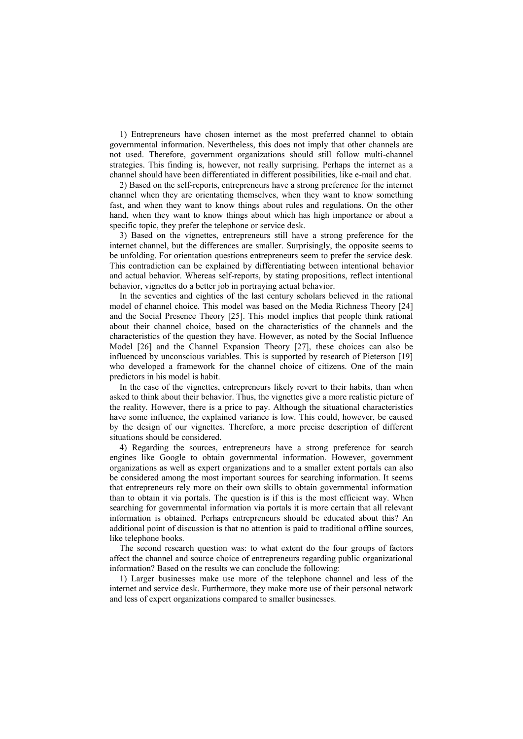1) Entrepreneurs have chosen internet as the most preferred channel to obtain governmental information. Nevertheless, this does not imply that other channels are not used. Therefore, government organizations should still follow multi-channel strategies. This finding is, however, not really surprising. Perhaps the internet as a channel should have been differentiated in different possibilities, like e-mail and chat.

2) Based on the self-reports, entrepreneurs have a strong preference for the internet channel when they are orientating themselves, when they want to know something fast, and when they want to know things about rules and regulations. On the other hand, when they want to know things about which has high importance or about a specific topic, they prefer the telephone or service desk.

3) Based on the vignettes, entrepreneurs still have a strong preference for the internet channel, but the differences are smaller. Surprisingly, the opposite seems to be unfolding. For orientation questions entrepreneurs seem to prefer the service desk. This contradiction can be explained by differentiating between intentional behavior and actual behavior. Whereas self-reports, by stating propositions, reflect intentional behavior, vignettes do a better job in portraying actual behavior.

In the seventies and eighties of the last century scholars believed in the rational model of channel choice. This model was based on the Media Richness Theory [24] and the Social Presence Theory [25]. This model implies that people think rational about their channel choice, based on the characteristics of the channels and the characteristics of the question they have. However, as noted by the Social Influence Model [26] and the Channel Expansion Theory [27], these choices can also be influenced by unconscious variables. This is supported by research of Pieterson [19] who developed a framework for the channel choice of citizens. One of the main predictors in his model is habit.

In the case of the vignettes, entrepreneurs likely revert to their habits, than when asked to think about their behavior. Thus, the vignettes give a more realistic picture of the reality. However, there is a price to pay. Although the situational characteristics have some influence, the explained variance is low. This could, however, be caused by the design of our vignettes. Therefore, a more precise description of different situations should be considered.

4) Regarding the sources, entrepreneurs have a strong preference for search engines like Google to obtain governmental information. However, government organizations as well as expert organizations and to a smaller extent portals can also be considered among the most important sources for searching information. It seems that entrepreneurs rely more on their own skills to obtain governmental information than to obtain it via portals. The question is if this is the most efficient way. When searching for governmental information via portals it is more certain that all relevant information is obtained. Perhaps entrepreneurs should be educated about this? An additional point of discussion is that no attention is paid to traditional offline sources, like telephone books.

The second research question was: to what extent do the four groups of factors affect the channel and source choice of entrepreneurs regarding public organizational information? Based on the results we can conclude the following:

1) Larger businesses make use more of the telephone channel and less of the internet and service desk. Furthermore, they make more use of their personal network and less of expert organizations compared to smaller businesses.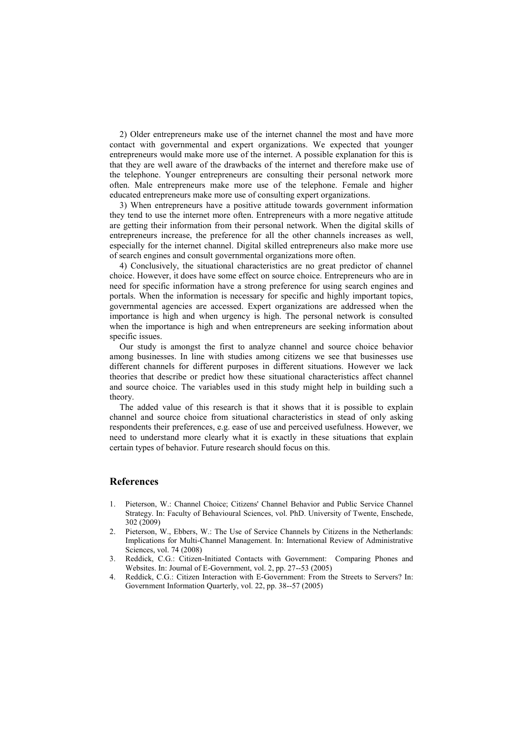2) Older entrepreneurs make use of the internet channel the most and have more contact with governmental and expert organizations. We expected that younger entrepreneurs would make more use of the internet. A possible explanation for this is that they are well aware of the drawbacks of the internet and therefore make use of the telephone. Younger entrepreneurs are consulting their personal network more often. Male entrepreneurs make more use of the telephone. Female and higher educated entrepreneurs make more use of consulting expert organizations.

3) When entrepreneurs have a positive attitude towards government information they tend to use the internet more often. Entrepreneurs with a more negative attitude are getting their information from their personal network. When the digital skills of entrepreneurs increase, the preference for all the other channels increases as well, especially for the internet channel. Digital skilled entrepreneurs also make more use of search engines and consult governmental organizations more often.

4) Conclusively, the situational characteristics are no great predictor of channel choice. However, it does have some effect on source choice. Entrepreneurs who are in need for specific information have a strong preference for using search engines and portals. When the information is necessary for specific and highly important topics, governmental agencies are accessed. Expert organizations are addressed when the importance is high and when urgency is high. The personal network is consulted when the importance is high and when entrepreneurs are seeking information about specific issues.

Our study is amongst the first to analyze channel and source choice behavior among businesses. In line with studies among citizens we see that businesses use different channels for different purposes in different situations. However we lack theories that describe or predict how these situational characteristics affect channel and source choice. The variables used in this study might help in building such a theory.

The added value of this research is that it shows that it is possible to explain channel and source choice from situational characteristics in stead of only asking respondents their preferences, e.g. ease of use and perceived usefulness. However, we need to understand more clearly what it is exactly in these situations that explain certain types of behavior. Future research should focus on this.

### **References**

- 1. Pieterson, W.: Channel Choice; Citizens' Channel Behavior and Public Service Channel Strategy. In: Faculty of Behavioural Sciences, vol. PhD. University of Twente, Enschede, 302 (2009)
- 2. Pieterson, W., Ebbers, W.: The Use of Service Channels by Citizens in the Netherlands: Implications for Multi-Channel Management. In: International Review of Administrative Sciences, vol. 74 (2008)
- 3. Reddick, C.G.: Citizen-Initiated Contacts with Government: Comparing Phones and Websites. In: Journal of E-Government, vol. 2, pp. 27--53 (2005)
- 4. Reddick, C.G.: Citizen Interaction with E-Government: From the Streets to Servers? In: Government Information Quarterly, vol. 22, pp. 38--57 (2005)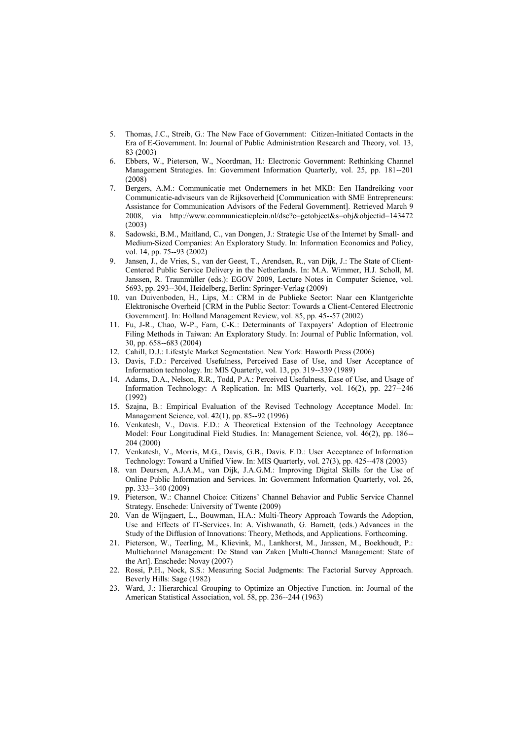- 5. Thomas, J.C., Streib, G.: The New Face of Government: Citizen-Initiated Contacts in the Era of E-Government. In: Journal of Public Administration Research and Theory, vol. 13, 83 (2003)
- 6. Ebbers, W., Pieterson, W., Noordman, H.: Electronic Government: Rethinking Channel Management Strategies. In: Government Information Quarterly, vol. 25, pp. 181--201 (2008)
- 7. Bergers, A.M.: Communicatie met Ondernemers in het MKB: Een Handreiking voor Communicatie-adviseurs van de Rijksoverheid [Communication with SME Entrepreneurs: Assistance for Communication Advisors of the Federal Government]. Retrieved March 9 2008, via http://www.communicatieplein.nl/dsc?c=getobject&s=obj&objectid=143472 (2003)
- 8. Sadowski, B.M., Maitland, C., van Dongen, J.: Strategic Use of the Internet by Small- and Medium-Sized Companies: An Exploratory Study. In: Information Economics and Policy, vol. 14, pp. 75--93 (2002)
- 9. Jansen, J., de Vries, S., van der Geest, T., Arendsen, R., van Dijk, J.: The State of Client-Centered Public Service Delivery in the Netherlands. In: M.A. Wimmer, H.J. Scholl, M. Janssen, R. Traunmüller (eds.): EGOV 2009, Lecture Notes in Computer Science, vol. 5693, pp. 293--304, Heidelberg, Berlin: Springer-Verlag (2009)
- 10. van Duivenboden, H., Lips, M.: CRM in de Publieke Sector: Naar een Klantgerichte Elektronische Overheid [CRM in the Public Sector: Towards a Client-Centered Electronic Government]. In: Holland Management Review, vol. 85, pp. 45--57 (2002)
- 11. Fu, J-R., Chao, W-P., Farn, C-K.: Determinants of Taxpayers' Adoption of Electronic Filing Methods in Taiwan: An Exploratory Study. In: Journal of Public Information, vol. 30, pp. 658--683 (2004)
- 12. Cahill, D.J.: Lifestyle Market Segmentation. New York: Haworth Press (2006)
- 13. Davis, F.D.: Perceived Usefulness, Perceived Ease of Use, and User Acceptance of Information technology. In: MIS Quarterly, vol. 13, pp. 319--339 (1989)
- 14. Adams, D.A., Nelson, R.R., Todd, P.A.: Perceived Usefulness, Ease of Use, and Usage of Information Technology: A Replication. In: MIS Quarterly, vol. 16(2), pp. 227--246 (1992)
- 15. Szajna, B.: Empirical Evaluation of the Revised Technology Acceptance Model. In: Management Science, vol. 42(1), pp. 85--92 (1996)
- 16. Venkatesh, V., Davis. F.D.: A Theoretical Extension of the Technology Acceptance Model: Four Longitudinal Field Studies. In: Management Science, vol. 46(2), pp. 186-- 204 (2000)
- 17. Venkatesh, V., Morris, M.G., Davis, G.B., Davis. F.D.: User Acceptance of Information Technology: Toward a Unified View. In: MIS Quarterly, vol. 27(3), pp. 425--478 (2003)
- 18. van Deursen, A.J.A.M., van Dijk, J.A.G.M.: Improving Digital Skills for the Use of Online Public Information and Services. In: Government Information Quarterly, vol. 26, pp. 333--340 (2009)
- 19. Pieterson, W.: Channel Choice: Citizens' Channel Behavior and Public Service Channel Strategy. Enschede: University of Twente (2009)
- 20. Van de Wijngaert, L., Bouwman, H.A.: Multi-Theory Approach Towards the Adoption, Use and Effects of IT-Services. In: A. Vishwanath, G. Barnett, (eds.) Advances in the Study of the Diffusion of Innovations: Theory, Methods, and Applications. Forthcoming.
- 21. Pieterson, W., Teerling, M., Klievink, M., Lankhorst, M., Janssen, M., Boekhoudt, P.: Multichannel Management: De Stand van Zaken [Multi-Channel Management: State of the Art]. Enschede: Novay (2007)
- 22. Rossi, P.H., Nock, S.S.: Measuring Social Judgments: The Factorial Survey Approach. Beverly Hills: Sage (1982)
- 23. Ward, J.: Hierarchical Grouping to Optimize an Objective Function. in: Journal of the American Statistical Association, vol. 58, pp. 236--244 (1963)